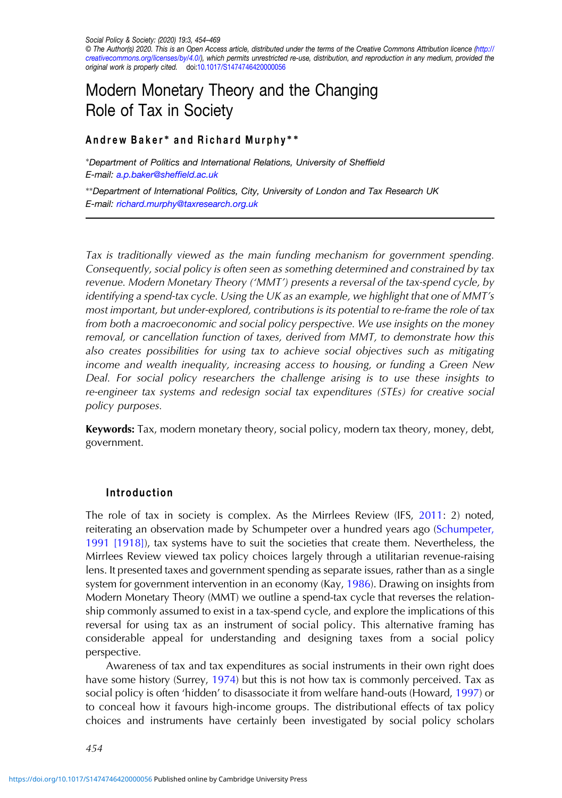Social Policy & Society: (2020) 19:3, 454–469 © The Author(s) 2020. This is an Open Access article, distributed under the terms of the Creative Commons Attribution licence (http:// creativecommons.org/licenses/by/4.0/), which permits unrestricted re-use, distribution, and reproduction in any medium, provided the original work is properly cited. doi[:10.1017/S1474746420000056](https://doi.org/10.1017/S1474746420000056)

# Modern Monetary Theory and the Changing Role of Tax in Society

## Andrew Baker\* and Richard Murphy\*\*

<sup>∗</sup>Department of Politics and International Relations, University of Sheffield E-mail: [a.p.baker@shef](mailto:a.p.baker@sheffield.ac.uk)field.ac.uk

∗∗Department of International Politics, City, University of London and Tax Research UK E-mail: [richard.murphy@taxresearch.org.uk](mailto:richard.murphy@taxresearch.org.uk)

Tax is traditionally viewed as the main funding mechanism for government spending. Consequently, social policy is often seen as something determined and constrained by tax revenue. Modern Monetary Theory ('MMT') presents a reversal of the tax-spend cycle, by identifying a spend-tax cycle. Using the UK as an example, we highlight that one of MMT's most important, but under-explored, contributions is its potential to re-frame the role of tax from both a macroeconomic and social policy perspective. We use insights on the money removal, or cancellation function of taxes, derived from MMT, to demonstrate how this also creates possibilities for using tax to achieve social objectives such as mitigating income and wealth inequality, increasing access to housing, or funding a Green New Deal. For social policy researchers the challenge arising is to use these insights to re-engineer tax systems and redesign social tax expenditures (STEs) for creative social policy purposes.

Keywords: Tax, modern monetary theory, social policy, modern tax theory, money, debt, government.

#### Introduction

The role of tax in society is complex. As the Mirrlees Review (IFS, [2011:](#page-13-0) 2) noted, reiterating an observation made by Schumpeter over a hundred years ago [\(Schumpeter,](#page-14-0) [1991 \[1918\]\)](#page-14-0), tax systems have to suit the societies that create them. Nevertheless, the Mirrlees Review viewed tax policy choices largely through a utilitarian revenue-raising lens. It presented taxes and government spending as separate issues, rather than as a single system for government intervention in an economy (Kay, [1986](#page-13-0)). Drawing on insights from Modern Monetary Theory (MMT) we outline a spend-tax cycle that reverses the relationship commonly assumed to exist in a tax-spend cycle, and explore the implications of this reversal for using tax as an instrument of social policy. This alternative framing has considerable appeal for understanding and designing taxes from a social policy perspective.

Awareness of tax and tax expenditures as social instruments in their own right does have some history (Surrey, [1974](#page-14-0)) but this is not how tax is commonly perceived. Tax as social policy is often 'hidden' to disassociate it from welfare hand-outs (Howard, [1997\)](#page-13-0) or to conceal how it favours high-income groups. The distributional effects of tax policy choices and instruments have certainly been investigated by social policy scholars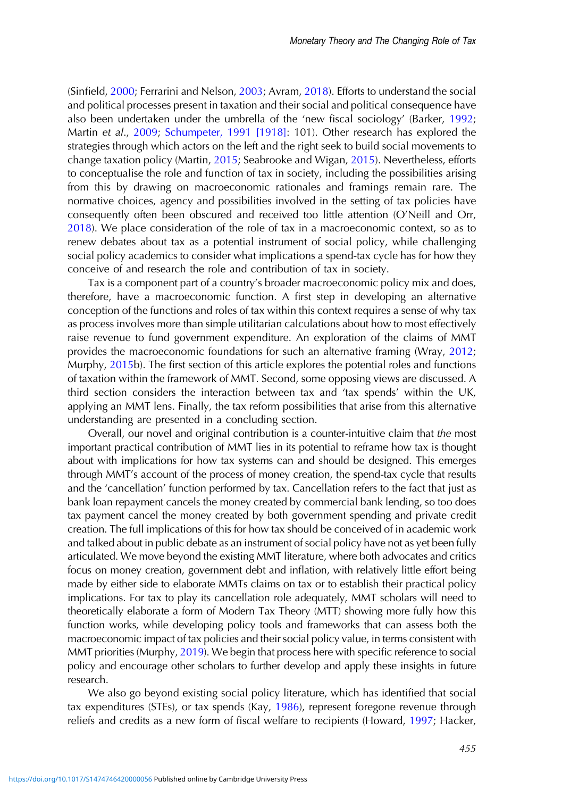(Sinfield, [2000](#page-14-0); Ferrarini and Nelson, [2003](#page-13-0); Avram, [2018](#page-12-0)). Efforts to understand the social and political processes present in taxation and their social and political consequence have also been undertaken under the umbrella of the 'new fiscal sociology' (Barker, [1992](#page-12-0); Martin et al., [2009](#page-14-0); [Schumpeter, 1991 \[1918\]:](#page-14-0) 101). Other research has explored the strategies through which actors on the left and the right seek to build social movements to change taxation policy (Martin, [2015;](#page-14-0) Seabrooke and Wigan, [2015](#page-14-0)). Nevertheless, efforts to conceptualise the role and function of tax in society, including the possibilities arising from this by drawing on macroeconomic rationales and framings remain rare. The normative choices, agency and possibilities involved in the setting of tax policies have consequently often been obscured and received too little attention (O'Neill and Orr, [2018](#page-14-0)). We place consideration of the role of tax in a macroeconomic context, so as to renew debates about tax as a potential instrument of social policy, while challenging social policy academics to consider what implications a spend-tax cycle has for how they conceive of and research the role and contribution of tax in society.

Tax is a component part of a country's broader macroeconomic policy mix and does, therefore, have a macroeconomic function. A first step in developing an alternative conception of the functions and roles of tax within this context requires a sense of why tax as process involves more than simple utilitarian calculations about how to most effectively raise revenue to fund government expenditure. An exploration of the claims of MMT provides the macroeconomic foundations for such an alternative framing (Wray, [2012](#page-14-0); Murphy, [2015](#page-14-0)b). The first section of this article explores the potential roles and functions of taxation within the framework of MMT. Second, some opposing views are discussed. A third section considers the interaction between tax and 'tax spends' within the UK, applying an MMT lens. Finally, the tax reform possibilities that arise from this alternative understanding are presented in a concluding section.

Overall, our novel and original contribution is a counter-intuitive claim that the most important practical contribution of MMT lies in its potential to reframe how tax is thought about with implications for how tax systems can and should be designed. This emerges through MMT's account of the process of money creation, the spend-tax cycle that results and the 'cancellation' function performed by tax. Cancellation refers to the fact that just as bank loan repayment cancels the money created by commercial bank lending, so too does tax payment cancel the money created by both government spending and private credit creation. The full implications of this for how tax should be conceived of in academic work and talked about in public debate as an instrument of social policy have not as yet been fully articulated. We move beyond the existing MMT literature, where both advocates and critics focus on money creation, government debt and inflation, with relatively little effort being made by either side to elaborate MMTs claims on tax or to establish their practical policy implications. For tax to play its cancellation role adequately, MMT scholars will need to theoretically elaborate a form of Modern Tax Theory (MTT) showing more fully how this function works, while developing policy tools and frameworks that can assess both the macroeconomic impact of tax policies and their social policy value, in terms consistent with MMT priorities (Murphy, [2019\)](#page-14-0). We begin that process here with specific reference to social policy and encourage other scholars to further develop and apply these insights in future research.

We also go beyond existing social policy literature, which has identified that social tax expenditures (STEs), or tax spends (Kay, [1986\)](#page-13-0), represent foregone revenue through reliefs and credits as a new form of fiscal welfare to recipients (Howard, [1997](#page-13-0); Hacker,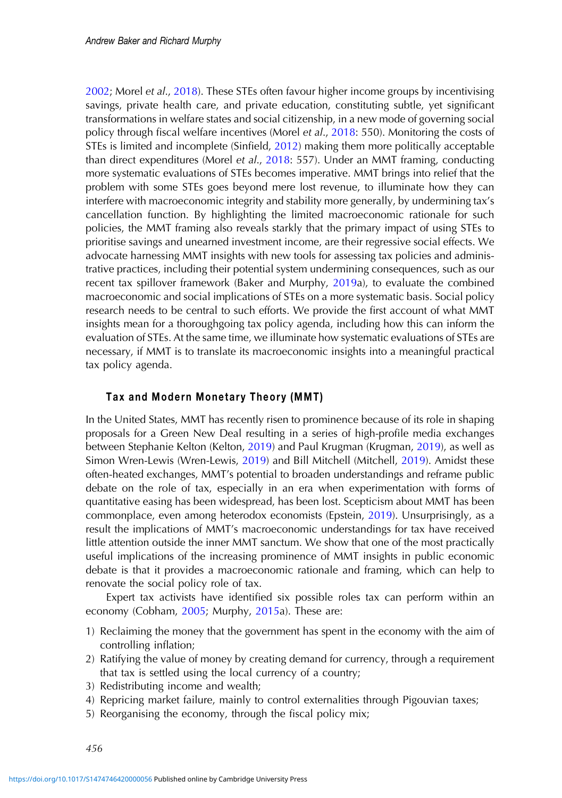[2002](#page-13-0); Morel et al., [2018\)](#page-14-0). These STEs often favour higher income groups by incentivising savings, private health care, and private education, constituting subtle, yet significant transformations in welfare states and social citizenship, in a new mode of governing social policy through fiscal welfare incentives (Morel et al., [2018:](#page-14-0) 550). Monitoring the costs of STEs is limited and incomplete (Sinfield, [2012\)](#page-14-0) making them more politically acceptable than direct expenditures (Morel et al., [2018](#page-14-0): 557). Under an MMT framing, conducting more systematic evaluations of STEs becomes imperative. MMT brings into relief that the problem with some STEs goes beyond mere lost revenue, to illuminate how they can interfere with macroeconomic integrity and stability more generally, by undermining tax's cancellation function. By highlighting the limited macroeconomic rationale for such policies, the MMT framing also reveals starkly that the primary impact of using STEs to prioritise savings and unearned investment income, are their regressive social effects. We advocate harnessing MMT insights with new tools for assessing tax policies and administrative practices, including their potential system undermining consequences, such as our recent tax spillover framework (Baker and Murphy, [2019](#page-12-0)a), to evaluate the combined macroeconomic and social implications of STEs on a more systematic basis. Social policy research needs to be central to such efforts. We provide the first account of what MMT insights mean for a thoroughgoing tax policy agenda, including how this can inform the evaluation of STEs. At the same time, we illuminate how systematic evaluations of STEs are necessary, if MMT is to translate its macroeconomic insights into a meaningful practical tax policy agenda.

# Tax and Modern Monetary Theory (MMT)

In the United States, MMT has recently risen to prominence because of its role in shaping proposals for a Green New Deal resulting in a series of high-profile media exchanges between Stephanie Kelton (Kelton, [2019\)](#page-13-0) and Paul Krugman (Krugman, [2019\)](#page-13-0), as well as Simon Wren-Lewis (Wren-Lewis, [2019\)](#page-15-0) and Bill Mitchell (Mitchell, [2019](#page-14-0)). Amidst these often-heated exchanges, MMT's potential to broaden understandings and reframe public debate on the role of tax, especially in an era when experimentation with forms of quantitative easing has been widespread, has been lost. Scepticism about MMT has been commonplace, even among heterodox economists (Epstein, [2019](#page-13-0)). Unsurprisingly, as a result the implications of MMT's macroeconomic understandings for tax have received little attention outside the inner MMT sanctum. We show that one of the most practically useful implications of the increasing prominence of MMT insights in public economic debate is that it provides a macroeconomic rationale and framing, which can help to renovate the social policy role of tax.

Expert tax activists have identified six possible roles tax can perform within an economy (Cobham, [2005;](#page-13-0) Murphy, [2015](#page-14-0)a). These are:

- 1) Reclaiming the money that the government has spent in the economy with the aim of controlling inflation;
- 2) Ratifying the value of money by creating demand for currency, through a requirement that tax is settled using the local currency of a country;
- 3) Redistributing income and wealth;
- 4) Repricing market failure, mainly to control externalities through Pigouvian taxes;
- 5) Reorganising the economy, through the fiscal policy mix;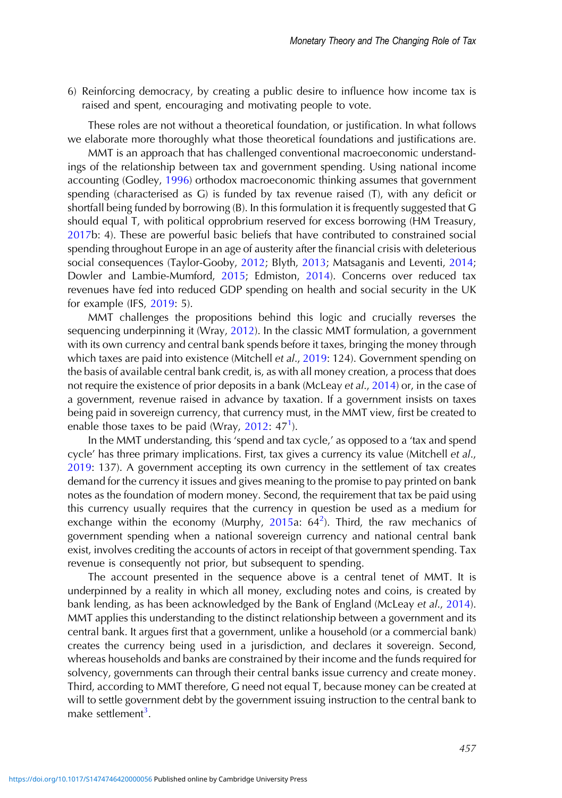6) Reinforcing democracy, by creating a public desire to influence how income tax is raised and spent, encouraging and motivating people to vote.

These roles are not without a theoretical foundation, or justification. In what follows we elaborate more thoroughly what those theoretical foundations and justifications are.

MMT is an approach that has challenged conventional macroeconomic understandings of the relationship between tax and government spending. Using national income accounting (Godley, [1996](#page-13-0)) orthodox macroeconomic thinking assumes that government spending (characterised as G) is funded by tax revenue raised (T), with any deficit or shortfall being funded by borrowing (B). In this formulation it is frequently suggested that G should equal T, with political opprobrium reserved for excess borrowing (HM Treasury, [2017](#page-13-0)b: 4). These are powerful basic beliefs that have contributed to constrained social spending throughout Europe in an age of austerity after the financial crisis with deleterious social consequences (Taylor-Gooby, [2012;](#page-14-0) Blyth, [2013](#page-13-0); Matsaganis and Leventi, [2014](#page-14-0); Dowler and Lambie-Mumford, [2015](#page-13-0); Edmiston, [2014\)](#page-13-0). Concerns over reduced tax revenues have fed into reduced GDP spending on health and social security in the UK for example (IFS, [2019](#page-13-0): 5).

MMT challenges the propositions behind this logic and crucially reverses the sequencing underpinning it (Wray, [2012](#page-14-0)). In the classic MMT formulation, a government with its own currency and central bank spends before it taxes, bringing the money through which taxes are paid into existence (Mitchell et al., [2019:](#page-14-0) 124). Government spending on the basis of available central bank credit, is, as with all money creation, a process that does not require the existence of prior deposits in a bank (McLeay et al., [2014\)](#page-14-0) or, in the case of a government, revenue raised in advance by taxation. If a government insists on taxes being paid in sovereign currency, that currency must, in the MMT view, first be created to enable those taxes to be paid (Wray,  $2012: 47<sup>1</sup>$  $2012: 47<sup>1</sup>$ ).

In the MMT understanding, this 'spend and tax cycle,' as opposed to a 'tax and spend cycle' has three primary implications. First, tax gives a currency its value (Mitchell et al., [2019](#page-14-0): 137). A government accepting its own currency in the settlement of tax creates demand for the currency it issues and gives meaning to the promise to pay printed on bank notes as the foundation of modern money. Second, the requirement that tax be paid using this currency usually requires that the currency in question be used as a medium for exchange within the economy (Murphy, [2015a](#page-14-0):  $64^2$ ). Third, the raw mechanics of government spending when a national sovereign currency and national central bank exist, involves crediting the accounts of actors in receipt of that government spending. Tax revenue is consequently not prior, but subsequent to spending.

The account presented in the sequence above is a central tenet of MMT. It is underpinned by a reality in which all money, excluding notes and coins, is created by bank lending, as has been acknowledged by the Bank of England (McLeay et al., [2014\)](#page-14-0). MMT applies this understanding to the distinct relationship between a government and its central bank. It argues first that a government, unlike a household (or a commercial bank) creates the currency being used in a jurisdiction, and declares it sovereign. Second, whereas households and banks are constrained by their income and the funds required for solvency, governments can through their central banks issue currency and create money. Third, according to MMT therefore, G need not equal T, because money can be created at will to settle government debt by the government issuing instruction to the central bank to make settlement<sup>3</sup>.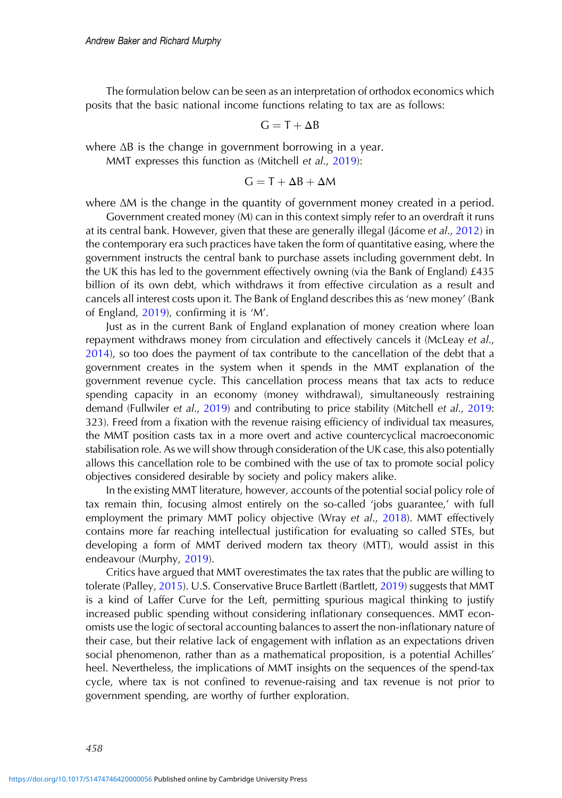The formulation below can be seen as an interpretation of orthodox economics which posits that the basic national income functions relating to tax are as follows:

$$
G = T + \Delta B
$$

where ΔB is the change in government borrowing in a year.

MMT expresses this function as (Mitchell et al., [2019](#page-14-0)):

$$
G = T + \Delta B + \Delta M
$$

where ΔM is the change in the quantity of government money created in a period.

Government created money (M) can in this context simply refer to an overdraft it runs at its central bank. However, given that these are generally illegal (Jácome et al., [2012](#page-13-0)) in the contemporary era such practices have taken the form of quantitative easing, where the government instructs the central bank to purchase assets including government debt. In the UK this has led to the government effectively owning (via the Bank of England) £435 billion of its own debt, which withdraws it from effective circulation as a result and cancels all interest costs upon it. The Bank of England describes this as 'new money' (Bank of England, [2019\)](#page-12-0), confirming it is 'M'.

Just as in the current Bank of England explanation of money creation where loan repayment withdraws money from circulation and effectively cancels it (McLeay et al., [2014](#page-14-0)), so too does the payment of tax contribute to the cancellation of the debt that a government creates in the system when it spends in the MMT explanation of the government revenue cycle. This cancellation process means that tax acts to reduce spending capacity in an economy (money withdrawal), simultaneously restraining demand (Fullwiler et al., [2019](#page-13-0)) and contributing to price stability (Mitchell et al., [2019](#page-14-0): 323). Freed from a fixation with the revenue raising efficiency of individual tax measures, the MMT position casts tax in a more overt and active countercyclical macroeconomic stabilisation role. As we will show through consideration of the UK case, this also potentially allows this cancellation role to be combined with the use of tax to promote social policy objectives considered desirable by society and policy makers alike.

In the existing MMT literature, however, accounts of the potential social policy role of tax remain thin, focusing almost entirely on the so-called 'jobs guarantee,' with full employment the primary MMT policy objective (Wray et al., [2018\)](#page-15-0). MMT effectively contains more far reaching intellectual justification for evaluating so called STEs, but developing a form of MMT derived modern tax theory (MTT), would assist in this endeavour (Murphy, [2019](#page-14-0)).

Critics have argued that MMT overestimates the tax rates that the public are willing to tolerate (Palley, [2015](#page-14-0)). U.S. Conservative Bruce Bartlett (Bartlett, [2019\)](#page-12-0) suggests that MMT is a kind of Laffer Curve for the Left, permitting spurious magical thinking to justify increased public spending without considering inflationary consequences. MMT economists use the logic of sectoral accounting balances to assert the non-inflationary nature of their case, but their relative lack of engagement with inflation as an expectations driven social phenomenon, rather than as a mathematical proposition, is a potential Achilles' heel. Nevertheless, the implications of MMT insights on the sequences of the spend-tax cycle, where tax is not confined to revenue-raising and tax revenue is not prior to government spending, are worthy of further exploration.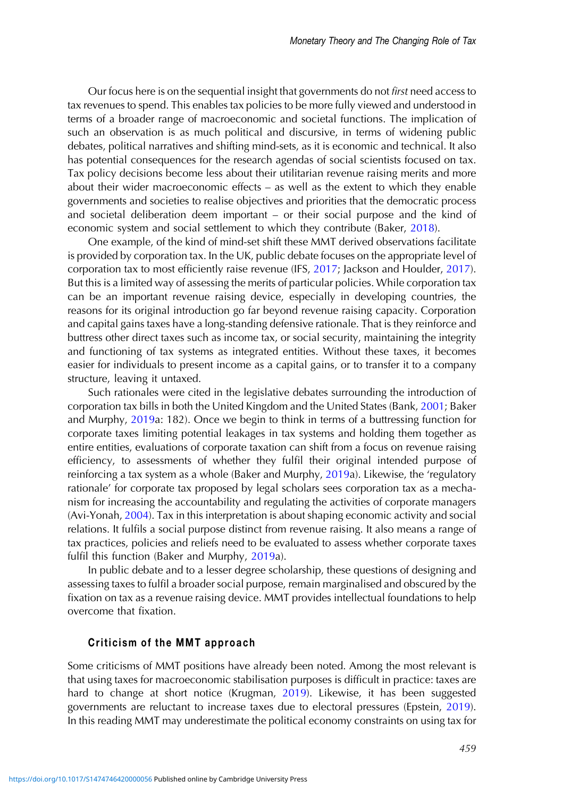Our focus here is on the sequential insight that governments do not first need access to tax revenues to spend. This enables tax policies to be more fully viewed and understood in terms of a broader range of macroeconomic and societal functions. The implication of such an observation is as much political and discursive, in terms of widening public debates, political narratives and shifting mind-sets, as it is economic and technical. It also has potential consequences for the research agendas of social scientists focused on tax. Tax policy decisions become less about their utilitarian revenue raising merits and more about their wider macroeconomic effects – as well as the extent to which they enable governments and societies to realise objectives and priorities that the democratic process and societal deliberation deem important – or their social purpose and the kind of economic system and social settlement to which they contribute (Baker, [2018](#page-12-0)).

One example, of the kind of mind-set shift these MMT derived observations facilitate is provided by corporation tax. In the UK, public debate focuses on the appropriate level of corporation tax to most efficiently raise revenue (IFS, [2017](#page-13-0); Jackson and Houlder, [2017\)](#page-13-0). But this is a limited way of assessing the merits of particular policies. While corporation tax can be an important revenue raising device, especially in developing countries, the reasons for its original introduction go far beyond revenue raising capacity. Corporation and capital gains taxes have a long-standing defensive rationale. That is they reinforce and buttress other direct taxes such as income tax, or social security, maintaining the integrity and functioning of tax systems as integrated entities. Without these taxes, it becomes easier for individuals to present income as a capital gains, or to transfer it to a company structure, leaving it untaxed.

Such rationales were cited in the legislative debates surrounding the introduction of corporation tax bills in both the United Kingdom and the United States (Bank, [2001](#page-12-0); Baker and Murphy, [2019](#page-12-0)a: 182). Once we begin to think in terms of a buttressing function for corporate taxes limiting potential leakages in tax systems and holding them together as entire entities, evaluations of corporate taxation can shift from a focus on revenue raising efficiency, to assessments of whether they fulfil their original intended purpose of reinforcing a tax system as a whole (Baker and Murphy, [2019a](#page-12-0)). Likewise, the 'regulatory rationale' for corporate tax proposed by legal scholars sees corporation tax as a mechanism for increasing the accountability and regulating the activities of corporate managers (Avi-Yonah, [2004](#page-12-0)). Tax in this interpretation is about shaping economic activity and social relations. It fulfils a social purpose distinct from revenue raising. It also means a range of tax practices, policies and reliefs need to be evaluated to assess whether corporate taxes fulfil this function (Baker and Murphy, [2019a](#page-12-0)).

In public debate and to a lesser degree scholarship, these questions of designing and assessing taxes to fulfil a broader social purpose, remain marginalised and obscured by the fixation on tax as a revenue raising device. MMT provides intellectual foundations to help overcome that fixation.

### Criticism of the MMT approach

Some criticisms of MMT positions have already been noted. Among the most relevant is that using taxes for macroeconomic stabilisation purposes is difficult in practice: taxes are hard to change at short notice (Krugman, [2019](#page-13-0)). Likewise, it has been suggested governments are reluctant to increase taxes due to electoral pressures (Epstein, [2019\)](#page-13-0). In this reading MMT may underestimate the political economy constraints on using tax for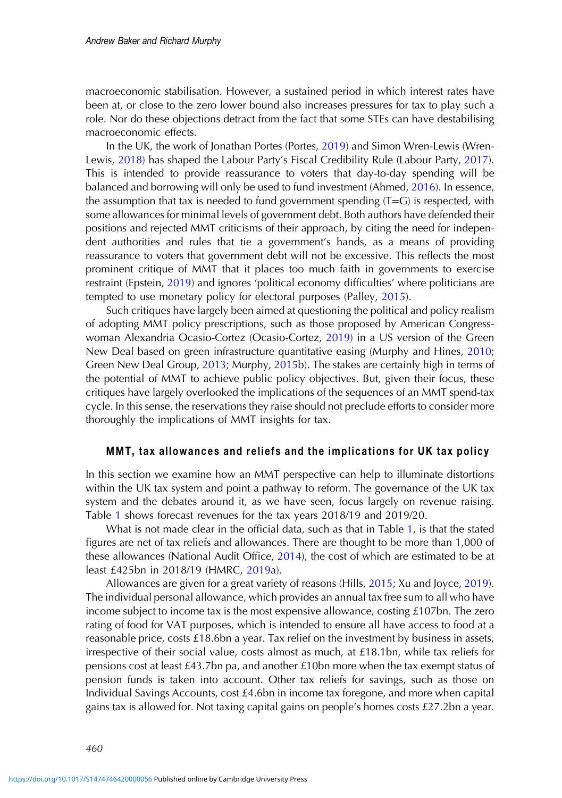macroeconomic stabilisation. However, a sustained period in which interest rates have been at, or close to the zero lower bound also increases pressures for tax to play such a role. Nor do these objections detract from the fact that some STEs can have destabilising macroeconomic effects.

In the UK, the work of Jonathan Portes (Portes, [2019](#page-14-0)) and Simon Wren-Lewis (Wren-Lewis, [2018\)](#page-15-0) has shaped the Labour Party's Fiscal Credibility Rule (Labour Party, [2017\)](#page-14-0). This is intended to provide reassurance to voters that day-to-day spending will be balanced and borrowing will only be used to fund investment (Ahmed, [2016](#page-12-0)). In essence, the assumption that tax is needed to fund government spending  $(T=G)$  is respected, with some allowances for minimal levels of government debt. Both authors have defended their positions and rejected MMT criticisms of their approach, by citing the need for independent authorities and rules that tie a government's hands, as a means of providing reassurance to voters that government debt will not be excessive. This reflects the most prominent critique of MMT that it places too much faith in governments to exercise restraint (Epstein, [2019\)](#page-13-0) and ignores 'political economy difficulties' where politicians are tempted to use monetary policy for electoral purposes (Palley, [2015](#page-14-0)).

Such critiques have largely been aimed at questioning the political and policy realism of adopting MMT policy prescriptions, such as those proposed by American Congresswoman Alexandria Ocasio-Cortez (Ocasio-Cortez, [2019](#page-14-0)) in a US version of the Green New Deal based on green infrastructure quantitative easing (Murphy and Hines, [2010](#page-14-0); Green New Deal Group, [2013;](#page-13-0) Murphy, [2015b](#page-14-0)). The stakes are certainly high in terms of the potential of MMT to achieve public policy objectives. But, given their focus, these critiques have largely overlooked the implications of the sequences of an MMT spend-tax cycle. In this sense, the reservations they raise should not preclude efforts to consider more thoroughly the implications of MMT insights for tax.

#### MMT, tax allowances and reliefs and the implications for UK tax policy

In this section we examine how an MMT perspective can help to illuminate distortions within the UK tax system and point a pathway to reform. The governance of the UK tax system and the debates around it, as we have seen, focus largely on revenue raising. Table [1](#page-7-0) shows forecast revenues for the tax years 2018/19 and 2019/20.

What is not made clear in the official data, such as that in Table [1,](#page-7-0) is that the stated figures are net of tax reliefs and allowances. There are thought to be more than 1,000 of these allowances (National Audit Office, [2014\)](#page-14-0), the cost of which are estimated to be at least £425bn in 2018/19 (HMRC, [2019a](#page-13-0)).

Allowances are given for a great variety of reasons (Hills, [2015;](#page-13-0) Xu and Joyce, [2019\)](#page-15-0). The individual personal allowance, which provides an annual tax free sum to all who have income subject to income tax is the most expensive allowance, costing £107bn. The zero rating of food for VAT purposes, which is intended to ensure all have access to food at a reasonable price, costs £18.6bn a year. Tax relief on the investment by business in assets, irrespective of their social value, costs almost as much, at £18.1bn, while tax reliefs for pensions cost at least £43.7bn pa, and another £10bn more when the tax exempt status of pension funds is taken into account. Other tax reliefs for savings, such as those on Individual Savings Accounts, cost £4.6bn in income tax foregone, and more when capital gains tax is allowed for. Not taxing capital gains on people's homes costs £27.2bn a year.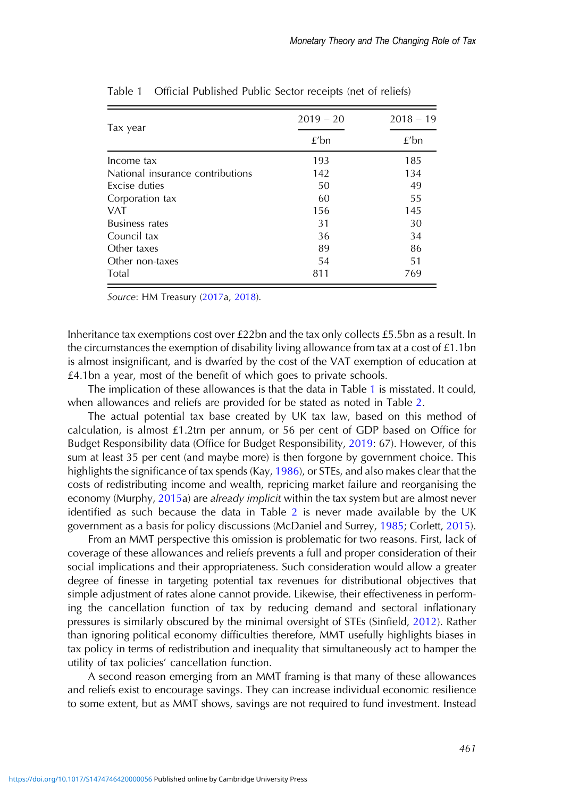|                                  | $2019 - 20$ | $2018 - 19$<br>$£$ bn |  |
|----------------------------------|-------------|-----------------------|--|
| Tax year                         | $f'$ bn     |                       |  |
| Income tax                       | 193         | 185                   |  |
| National insurance contributions | 142         | 134                   |  |
| Excise duties                    | 50          | 49                    |  |
| Corporation tax                  | 60          | 55                    |  |
| <b>VAT</b>                       | 156         | 145                   |  |
| <b>Business rates</b>            | 31          | 30                    |  |
| Council tax                      | 36          | 34                    |  |
| Other taxes                      | 89          | 86                    |  |
| Other non-taxes                  | 54          | 51                    |  |
| Total                            | 811         | 769                   |  |

<span id="page-7-0"></span>Table 1 Official Published Public Sector receipts (net of reliefs)

Source: HM Treasury ([2017](#page-13-0)a, [2018\)](#page-13-0).

Inheritance tax exemptions cost over £22bn and the tax only collects £5.5bn as a result. In the circumstances the exemption of disability living allowance from tax at a cost of  $£1.1$ bn is almost insignificant, and is dwarfed by the cost of the VAT exemption of education at £4.1bn a year, most of the benefit of which goes to private schools.

The implication of these allowances is that the data in Table 1 is misstated. It could, when allowances and reliefs are provided for be stated as noted in Table [2.](#page-8-0)

The actual potential tax base created by UK tax law, based on this method of calculation, is almost £1.2trn per annum, or 56 per cent of GDP based on Office for Budget Responsibility data (Office for Budget Responsibility, [2019](#page-14-0): 67). However, of this sum at least 35 per cent (and maybe more) is then forgone by government choice. This highlights the significance of tax spends (Kay, [1986\)](#page-13-0), or STEs, and also makes clear that the costs of redistributing income and wealth, repricing market failure and reorganising the economy (Murphy, [2015](#page-14-0)a) are already implicit within the tax system but are almost never identified as such because the data in Table [2](#page-8-0) is never made available by the UK government as a basis for policy discussions (McDaniel and Surrey, [1985;](#page-14-0) Corlett, [2015\)](#page-13-0).

From an MMT perspective this omission is problematic for two reasons. First, lack of coverage of these allowances and reliefs prevents a full and proper consideration of their social implications and their appropriateness. Such consideration would allow a greater degree of finesse in targeting potential tax revenues for distributional objectives that simple adjustment of rates alone cannot provide. Likewise, their effectiveness in performing the cancellation function of tax by reducing demand and sectoral inflationary pressures is similarly obscured by the minimal oversight of STEs (Sinfield, [2012\)](#page-14-0). Rather than ignoring political economy difficulties therefore, MMT usefully highlights biases in tax policy in terms of redistribution and inequality that simultaneously act to hamper the utility of tax policies' cancellation function.

A second reason emerging from an MMT framing is that many of these allowances and reliefs exist to encourage savings. They can increase individual economic resilience to some extent, but as MMT shows, savings are not required to fund investment. Instead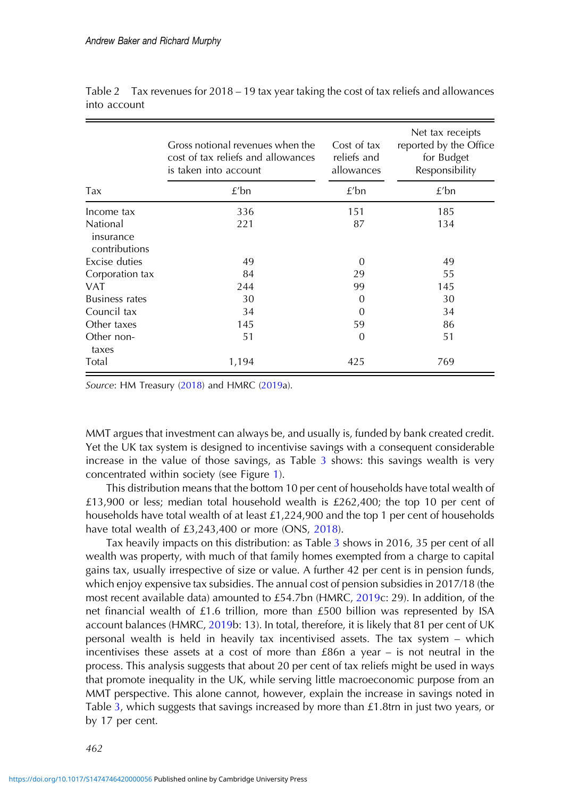|                                        | Gross notional revenues when the<br>cost of tax reliefs and allowances<br>is taken into account | Cost of tax<br>reliefs and<br>allowances | Net tax receipts<br>reported by the Office<br>for Budget<br>Responsibility |
|----------------------------------------|-------------------------------------------------------------------------------------------------|------------------------------------------|----------------------------------------------------------------------------|
| Tax                                    | f/bn                                                                                            | f/bn                                     | f/bn                                                                       |
| Income tax                             | 336                                                                                             | 151                                      | 185                                                                        |
| National<br>insurance<br>contributions | 221                                                                                             | 87                                       | 134                                                                        |
| Excise duties                          | 49                                                                                              | 0                                        | 49                                                                         |
| Corporation tax                        | 84                                                                                              | 29                                       | 55                                                                         |
| VAT                                    | 244                                                                                             | 99                                       | 145                                                                        |
| <b>Business rates</b>                  | 30                                                                                              | 0                                        | 30                                                                         |
| Council tax                            | 34                                                                                              | 0                                        | 34                                                                         |
| Other taxes                            | 145                                                                                             | 59                                       | 86                                                                         |
| Other non-<br>taxes                    | 51                                                                                              | $\overline{0}$                           | 51                                                                         |
| Total                                  | 1,194                                                                                           | 425                                      | 769                                                                        |

<span id="page-8-0"></span>Table 2 Tax revenues for  $2018 - 19$  tax year taking the cost of tax reliefs and allowances into account

Source: HM Treasury ([2018](#page-13-0)) and HMRC [\(2019](#page-13-0)a).

MMT argues that investment can always be, and usually is, funded by bank created credit. Yet the UK tax system is designed to incentivise savings with a consequent considerable increase in the value of those savings, as Table [3](#page-9-0) shows: this savings wealth is very concentrated within society (see Figure [1\)](#page-10-0).

This distribution means that the bottom 10 per cent of households have total wealth of £13,900 or less; median total household wealth is £262,400; the top 10 per cent of households have total wealth of at least £1,224,900 and the top 1 per cent of households have total wealth of £3,243,400 or more (ONS, [2018\)](#page-14-0).

Tax heavily impacts on this distribution: as Table [3](#page-9-0) shows in 2016, 35 per cent of all wealth was property, with much of that family homes exempted from a charge to capital gains tax, usually irrespective of size or value. A further 42 per cent is in pension funds, which enjoy expensive tax subsidies. The annual cost of pension subsidies in 2017/18 (the most recent available data) amounted to £54.7bn (HMRC, [2019c](#page-13-0): 29). In addition, of the net financial wealth of £1.6 trillion, more than £500 billion was represented by ISA account balances (HMRC, [2019](#page-13-0)b: 13). In total, therefore, it is likely that 81 per cent of UK personal wealth is held in heavily tax incentivised assets. The tax system – which incentivises these assets at a cost of more than £86n a year – is not neutral in the process. This analysis suggests that about 20 per cent of tax reliefs might be used in ways that promote inequality in the UK, while serving little macroeconomic purpose from an MMT perspective. This alone cannot, however, explain the increase in savings noted in Table [3,](#page-9-0) which suggests that savings increased by more than £1.8trn in just two years, or by 17 per cent.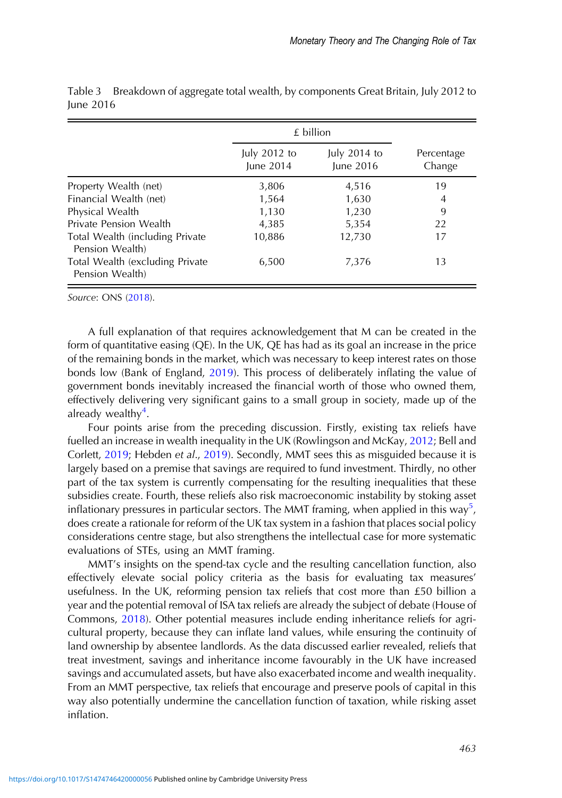|                                                    | £ billion                 |                             |                      |
|----------------------------------------------------|---------------------------|-----------------------------|----------------------|
|                                                    | July 2012 to<br>June 2014 | July $2014$ to<br>June 2016 | Percentage<br>Change |
| Property Wealth (net)                              | 3,806                     | 4,516                       | 19                   |
| Financial Wealth (net)                             | 1,564                     | 1,630                       | 4                    |
| Physical Wealth                                    | 1,130                     | 1,230                       | 9                    |
| Private Pension Wealth                             | 4,385                     | 5,354                       | 22                   |
| Total Wealth (including Private<br>Pension Wealth) | 10,886                    | 12,730                      | 17                   |
| Total Wealth (excluding Private<br>Pension Wealth) | 6,500                     | 7.376                       | 13                   |

<span id="page-9-0"></span>Table 3 Breakdown of aggregate total wealth, by components Great Britain, July 2012 to June 2016

Source: ONS ([2018](#page-14-0)).

A full explanation of that requires acknowledgement that M can be created in the form of quantitative easing (QE). In the UK, QE has had as its goal an increase in the price of the remaining bonds in the market, which was necessary to keep interest rates on those bonds low (Bank of England, [2019\)](#page-12-0). This process of deliberately inflating the value of government bonds inevitably increased the financial worth of those who owned them, effectively delivering very significant gains to a small group in society, made up of the already wealthy<sup>4</sup>.

Four points arise from the preceding discussion. Firstly, existing tax reliefs have fuelled an increase in wealth inequality in the UK (Rowlingson and McKay, [2012;](#page-14-0) Bell and Corlett, [2019;](#page-12-0) Hebden et al., [2019\)](#page-13-0). Secondly, MMT sees this as misguided because it is largely based on a premise that savings are required to fund investment. Thirdly, no other part of the tax system is currently compensating for the resulting inequalities that these subsidies create. Fourth, these reliefs also risk macroeconomic instability by stoking asset inflationary pressures in particular sectors. The MMT framing, when applied in this way<sup>5</sup>, does create a rationale for reform of the UK tax system in a fashion that places social policy considerations centre stage, but also strengthens the intellectual case for more systematic evaluations of STEs, using an MMT framing.

MMT's insights on the spend-tax cycle and the resulting cancellation function, also effectively elevate social policy criteria as the basis for evaluating tax measures' usefulness. In the UK, reforming pension tax reliefs that cost more than £50 billion a year and the potential removal of ISA tax reliefs are already the subject of debate (House of Commons, [2018\)](#page-13-0). Other potential measures include ending inheritance reliefs for agricultural property, because they can inflate land values, while ensuring the continuity of land ownership by absentee landlords. As the data discussed earlier revealed, reliefs that treat investment, savings and inheritance income favourably in the UK have increased savings and accumulated assets, but have also exacerbated income and wealth inequality. From an MMT perspective, tax reliefs that encourage and preserve pools of capital in this way also potentially undermine the cancellation function of taxation, while risking asset inflation.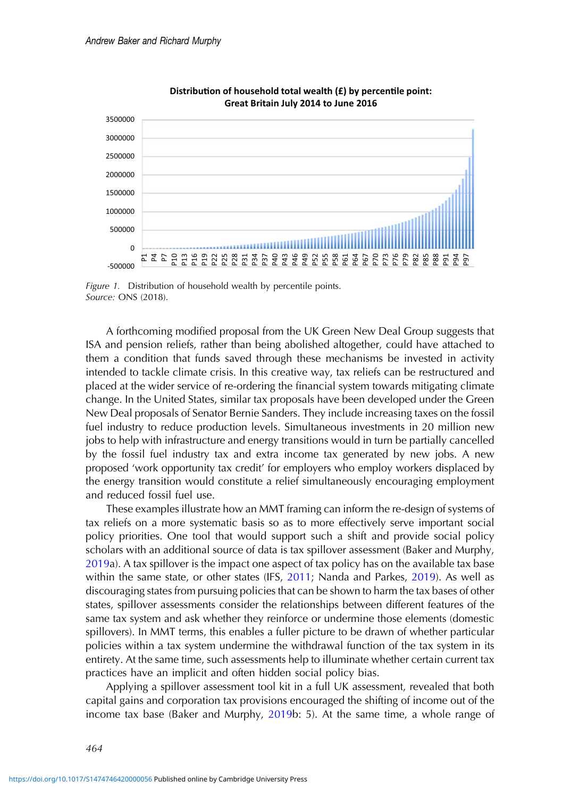<span id="page-10-0"></span>

**Distribution of household total wealth (£) by percentile point: Great Britain July 2014 to June 2016**

Figure 1. Distribution of household wealth by percentile points. Source: ONS (2018).

A forthcoming modified proposal from the UK Green New Deal Group suggests that ISA and pension reliefs, rather than being abolished altogether, could have attached to them a condition that funds saved through these mechanisms be invested in activity intended to tackle climate crisis. In this creative way, tax reliefs can be restructured and placed at the wider service of re-ordering the financial system towards mitigating climate change. In the United States, similar tax proposals have been developed under the Green New Deal proposals of Senator Bernie Sanders. They include increasing taxes on the fossil fuel industry to reduce production levels. Simultaneous investments in 20 million new jobs to help with infrastructure and energy transitions would in turn be partially cancelled by the fossil fuel industry tax and extra income tax generated by new jobs. A new proposed 'work opportunity tax credit' for employers who employ workers displaced by the energy transition would constitute a relief simultaneously encouraging employment and reduced fossil fuel use.

These examples illustrate how an MMT framing can inform the re-design of systems of tax reliefs on a more systematic basis so as to more effectively serve important social policy priorities. One tool that would support such a shift and provide social policy scholars with an additional source of data is tax spillover assessment (Baker and Murphy, [2019](#page-12-0)a). A tax spillover is the impact one aspect of tax policy has on the available tax base within the same state, or other states (IFS, [2011](#page-13-0); Nanda and Parkes, [2019](#page-14-0)). As well as discouraging states from pursuing policies that can be shown to harm the tax bases of other states, spillover assessments consider the relationships between different features of the same tax system and ask whether they reinforce or undermine those elements (domestic spillovers). In MMT terms, this enables a fuller picture to be drawn of whether particular policies within a tax system undermine the withdrawal function of the tax system in its entirety. At the same time, such assessments help to illuminate whether certain current tax practices have an implicit and often hidden social policy bias.

Applying a spillover assessment tool kit in a full UK assessment, revealed that both capital gains and corporation tax provisions encouraged the shifting of income out of the income tax base (Baker and Murphy, [2019b](#page-12-0): 5). At the same time, a whole range of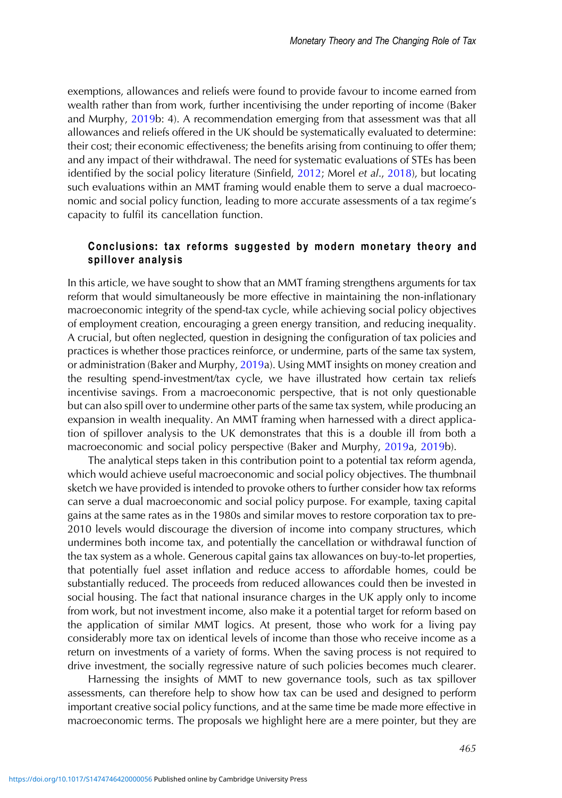exemptions, allowances and reliefs were found to provide favour to income earned from wealth rather than from work, further incentivising the under reporting of income (Baker and Murphy, [2019](#page-12-0)b: 4). A recommendation emerging from that assessment was that all allowances and reliefs offered in the UK should be systematically evaluated to determine: their cost; their economic effectiveness; the benefits arising from continuing to offer them; and any impact of their withdrawal. The need for systematic evaluations of STEs has been identified by the social policy literature (Sinfield, [2012](#page-14-0); Morel et al., [2018](#page-14-0)), but locating such evaluations within an MMT framing would enable them to serve a dual macroeconomic and social policy function, leading to more accurate assessments of a tax regime's capacity to fulfil its cancellation function.

# Conclusions: tax reforms suggested by modern monetary theory and spillover analysis

In this article, we have sought to show that an MMT framing strengthens arguments for tax reform that would simultaneously be more effective in maintaining the non-inflationary macroeconomic integrity of the spend-tax cycle, while achieving social policy objectives of employment creation, encouraging a green energy transition, and reducing inequality. A crucial, but often neglected, question in designing the configuration of tax policies and practices is whether those practices reinforce, or undermine, parts of the same tax system, or administration (Baker and Murphy, [2019a](#page-12-0)). Using MMT insights on money creation and the resulting spend-investment/tax cycle, we have illustrated how certain tax reliefs incentivise savings. From a macroeconomic perspective, that is not only questionable but can also spill over to undermine other parts of the same tax system, while producing an expansion in wealth inequality. An MMT framing when harnessed with a direct application of spillover analysis to the UK demonstrates that this is a double ill from both a macroeconomic and social policy perspective (Baker and Murphy, [2019a](#page-12-0), [2019](#page-12-0)b).

The analytical steps taken in this contribution point to a potential tax reform agenda, which would achieve useful macroeconomic and social policy objectives. The thumbnail sketch we have provided is intended to provoke others to further consider how tax reforms can serve a dual macroeconomic and social policy purpose. For example, taxing capital gains at the same rates as in the 1980s and similar moves to restore corporation tax to pre-2010 levels would discourage the diversion of income into company structures, which undermines both income tax, and potentially the cancellation or withdrawal function of the tax system as a whole. Generous capital gains tax allowances on buy-to-let properties, that potentially fuel asset inflation and reduce access to affordable homes, could be substantially reduced. The proceeds from reduced allowances could then be invested in social housing. The fact that national insurance charges in the UK apply only to income from work, but not investment income, also make it a potential target for reform based on the application of similar MMT logics. At present, those who work for a living pay considerably more tax on identical levels of income than those who receive income as a return on investments of a variety of forms. When the saving process is not required to drive investment, the socially regressive nature of such policies becomes much clearer.

Harnessing the insights of MMT to new governance tools, such as tax spillover assessments, can therefore help to show how tax can be used and designed to perform important creative social policy functions, and at the same time be made more effective in macroeconomic terms. The proposals we highlight here are a mere pointer, but they are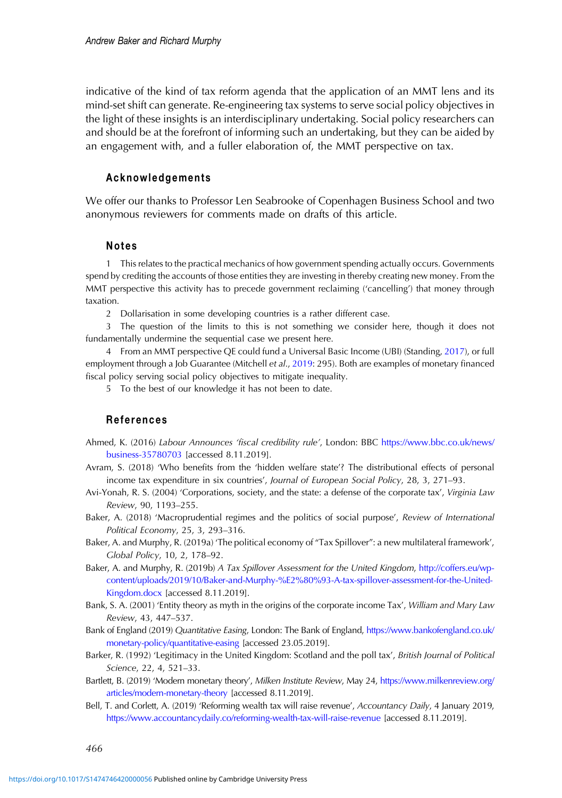<span id="page-12-0"></span>indicative of the kind of tax reform agenda that the application of an MMT lens and its mind-set shift can generate. Re-engineering tax systems to serve social policy objectives in the light of these insights is an interdisciplinary undertaking. Social policy researchers can and should be at the forefront of informing such an undertaking, but they can be aided by an engagement with, and a fuller elaboration of, the MMT perspective on tax.

## Acknowledgements

We offer our thanks to Professor Len Seabrooke of Copenhagen Business School and two anonymous reviewers for comments made on drafts of this article.

#### Notes

1 This relates to the practical mechanics of how government spending actually occurs. Governments spend by crediting the accounts of those entities they are investing in thereby creating new money. From the MMT perspective this activity has to precede government reclaiming ('cancelling') that money through taxation.

2 Dollarisation in some developing countries is a rather different case.

3 The question of the limits to this is not something we consider here, though it does not fundamentally undermine the sequential case we present here.

4 From an MMT perspective QE could fund a Universal Basic Income (UBI) (Standing, [2017\)](#page-14-0), or full employment through a Job Guarantee (Mitchell et al., [2019](#page-14-0): 295). Both are examples of monetary financed fiscal policy serving social policy objectives to mitigate inequality.

5 To the best of our knowledge it has not been to date.

### References

- Ahmed, K. (2016) Labour Announces 'fiscal credibility rule', London: BBC [https://www.bbc.co.uk/news/](https://www.bbc.co.uk/news/business-35780703) [business-35780703](https://www.bbc.co.uk/news/business-35780703) [accessed 8.11.2019].
- Avram, S. (2018) 'Who benefits from the 'hidden welfare state'? The distributional effects of personal income tax expenditure in six countries', Journal of European Social Policy, 28, 3, 271–93.
- Avi-Yonah, R. S. (2004) 'Corporations, society, and the state: a defense of the corporate tax', Virginia Law Review, 90, 1193–255.
- Baker, A. (2018) 'Macroprudential regimes and the politics of social purpose', Review of International Political Economy, 25, 3, 293–316.
- Baker, A. and Murphy, R. (2019a) 'The political economy of "Tax Spillover": a new multilateral framework', Global Policy, 10, 2, 178–92.
- Baker, A. and Murphy, R. (2019b) A Tax Spillover Assessment for the United Kingdom, [http://coffers.eu/wp](http://coffers.eu/wp-content/uploads/2019/10/Baker-and-Murphy-%E2%80%93-A-tax-spillover-assessment-for-the-United-Kingdom.docx)[content/uploads/2019/10/Baker-and-Murphy-%E2%80%93-A-tax-spillover-assessment-for-the-United-](http://coffers.eu/wp-content/uploads/2019/10/Baker-and-Murphy-%E2%80%93-A-tax-spillover-assessment-for-the-United-Kingdom.docx)[Kingdom.docx](http://coffers.eu/wp-content/uploads/2019/10/Baker-and-Murphy-%E2%80%93-A-tax-spillover-assessment-for-the-United-Kingdom.docx) [accessed 8.11.2019].
- Bank, S. A. (2001) 'Entity theory as myth in the origins of the corporate income Tax', William and Mary Law Review, 43, 447–537.
- Bank of England (2019) Quantitative Easing, London: The Bank of England, [https://www.bankofengland.co.uk/](https://www.bankofengland.co.uk/monetary-policy/quantitative-easing) [monetary-policy/quantitative-easing](https://www.bankofengland.co.uk/monetary-policy/quantitative-easing) [accessed 23.05.2019].
- Barker, R. (1992) 'Legitimacy in the United Kingdom: Scotland and the poll tax', British Journal of Political Science, 22, 4, 521–33.
- Bartlett, B. (2019) 'Modern monetary theory', Milken Institute Review, May 24, [https://www.milkenreview.org/](https://www.milkenreview.org/articles/modern-monetary-theory) [articles/modern-monetary-theory](https://www.milkenreview.org/articles/modern-monetary-theory) [accessed 8.11.2019].
- Bell, T. and Corlett, A. (2019) 'Reforming wealth tax will raise revenue', Accountancy Daily, 4 January 2019, <https://www.accountancydaily.co/reforming-wealth-tax-will-raise-revenue> [accessed 8.11.2019].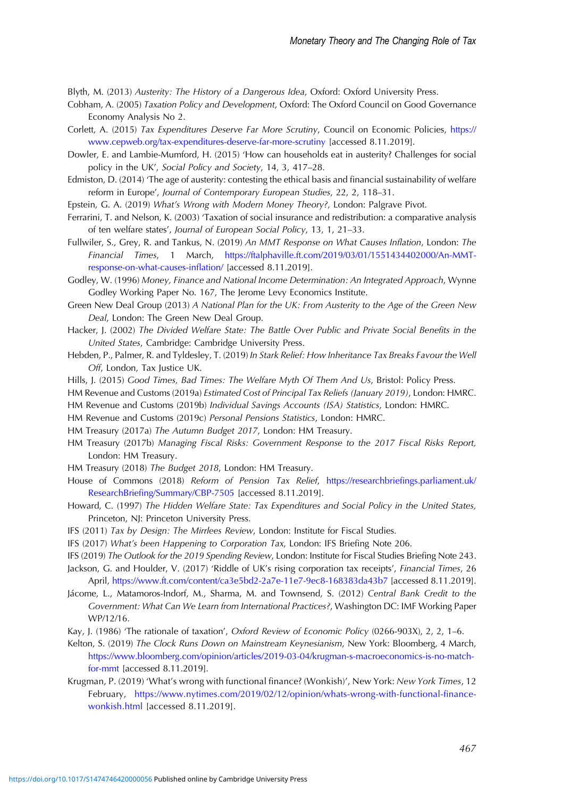<span id="page-13-0"></span>Blyth, M. (2013) Austerity: The History of a Dangerous Idea, Oxford: Oxford University Press.

- Cobham, A. (2005) Taxation Policy and Development, Oxford: The Oxford Council on Good Governance Economy Analysis No 2.
- Corlett, A. (2015) Tax Expenditures Deserve Far More Scrutiny, Council on Economic Policies, [https://](https://www.cepweb.org/tax-expenditures-deserve-far-more-scrutiny) [www.cepweb.org/tax-expenditures-deserve-far-more-scrutiny](https://www.cepweb.org/tax-expenditures-deserve-far-more-scrutiny) [accessed 8.11.2019].
- Dowler, E. and Lambie-Mumford, H. (2015) 'How can households eat in austerity? Challenges for social policy in the UK', Social Policy and Society, 14, 3, 417–28.
- Edmiston, D. (2014) 'The age of austerity: contesting the ethical basis and financial sustainability of welfare reform in Europe', Journal of Contemporary European Studies, 22, 2, 118–31.
- Epstein, G. A. (2019) What's Wrong with Modern Money Theory?, London: Palgrave Pivot.
- Ferrarini, T. and Nelson, K. (2003) 'Taxation of social insurance and redistribution: a comparative analysis of ten welfare states', Journal of European Social Policy, 13, 1, 21–33.
- Fullwiler, S., Grey, R. and Tankus, N. (2019) An MMT Response on What Causes Inflation, London: The Financial Times, 1 March, [https://ftalphaville.ft.com/2019/03/01/1551434402000/An-MMT](https://ftalphaville.ft.com/2019/03/01/1551434402000/An-MMT-response-on-what-causes-inflation/)[response-on-what-causes-in](https://ftalphaville.ft.com/2019/03/01/1551434402000/An-MMT-response-on-what-causes-inflation/)flation/ [accessed 8.11.2019].
- Godley, W. (1996) Money, Finance and National Income Determination: An Integrated Approach, Wynne Godley Working Paper No. 167, The Jerome Levy Economics Institute.
- Green New Deal Group (2013) A National Plan for the UK: From Austerity to the Age of the Green New Deal, London: The Green New Deal Group.
- Hacker, J. (2002) The Divided Welfare State: The Battle Over Public and Private Social Benefits in the United States, Cambridge: Cambridge University Press.
- Hebden, P., Palmer, R. and Tyldesley, T. (2019) In Stark Relief: How Inheritance Tax Breaks Favour the Well Off, London, Tax Justice UK.
- Hills, J. (2015) Good Times, Bad Times: The Welfare Myth Of Them And Us, Bristol: Policy Press.
- HM Revenue and Customs (2019a) Estimated Cost of Principal Tax Reliefs (January 2019), London: HMRC.
- HM Revenue and Customs (2019b) Individual Savings Accounts (ISA) Statistics, London: HMRC.
- HM Revenue and Customs (2019c) Personal Pensions Statistics, London: HMRC.
- HM Treasury (2017a) The Autumn Budget 2017, London: HM Treasury.
- HM Treasury (2017b) Managing Fiscal Risks: Government Response to the 2017 Fiscal Risks Report, London: HM Treasury.
- HM Treasury (2018) The Budget 2018, London: HM Treasury.
- House of Commons (2018) Reform of Pension Tax Relief, [https://researchbrie](https://researchbriefings.parliament.uk/ResearchBriefing/Summary/CBP-7505)fings.parliament.uk/ ResearchBriefi[ng/Summary/CBP-7505](https://researchbriefings.parliament.uk/ResearchBriefing/Summary/CBP-7505) [accessed 8.11.2019].
- Howard, C. (1997) The Hidden Welfare State: Tax Expenditures and Social Policy in the United States, Princeton, NJ: Princeton University Press.
- IFS (2011) Tax by Design: The Mirrlees Review, London: Institute for Fiscal Studies.
- IFS (2017) What's been Happening to Corporation Tax, London: IFS Briefing Note 206.
- IFS (2019) The Outlook for the 2019 Spending Review, London: Institute for Fiscal Studies Briefing Note 243.

Jackson, G. and Houlder, V. (2017) 'Riddle of UK's rising corporation tax receipts', Financial Times, 26 April, <https://www.ft.com/content/ca3e5bd2-2a7e-11e7-9ec8-168383da43b7> [accessed 8.11.2019].

- Jácome, L., Matamoros-Indorf, M., Sharma, M. and Townsend, S. (2012) Central Bank Credit to the Government: What Can We Learn from International Practices?, Washington DC: IMF Working Paper WP/12/16.
- Kay, J. (1986) 'The rationale of taxation', Oxford Review of Economic Policy (0266-903X), 2, 2, 1–6.
- Kelton, S. (2019) The Clock Runs Down on Mainstream Keynesianism, New York: Bloomberg, 4 March, [https://www.bloomberg.com/opinion/articles/2019-03-04/krugman-s-macroeconomics-is-no-match](https://www.bloomberg.com/opinion/articles/2019-03-04/krugman-s-macroeconomics-is-no-match-for-mmt)[for-mmt](https://www.bloomberg.com/opinion/articles/2019-03-04/krugman-s-macroeconomics-is-no-match-for-mmt) [accessed 8.11.2019].
- Krugman, P. (2019) 'What's wrong with functional finance? (Wonkish)', New York: New York Times, 12 February, [https://www.nytimes.com/2019/02/12/opinion/whats-wrong-with-functional-](https://www.nytimes.com/2019/02/12/opinion/whats-wrong-with-functional-finance-wonkish.html)finance[wonkish.html](https://www.nytimes.com/2019/02/12/opinion/whats-wrong-with-functional-finance-wonkish.html) [accessed 8.11.2019].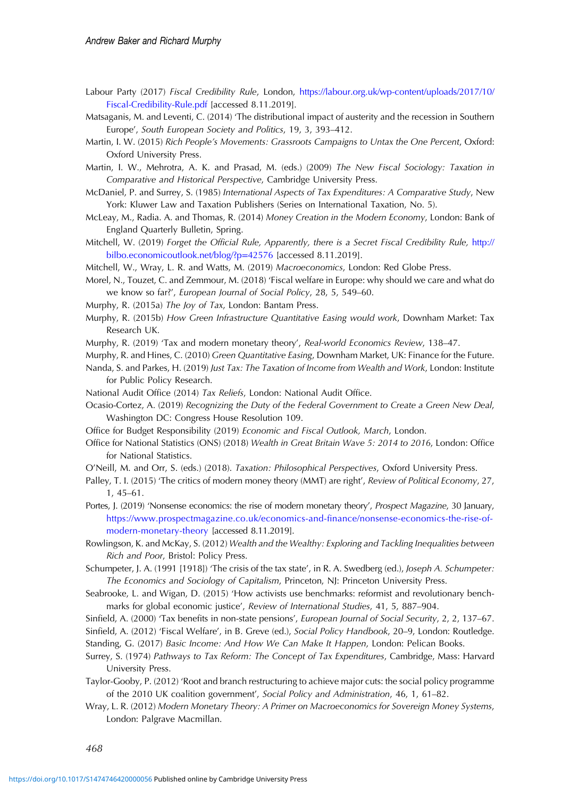- <span id="page-14-0"></span>Labour Party (2017) Fiscal Credibility Rule, London, [https://labour.org.uk/wp-content/uploads/2017/10/](https://labour.org.uk/wp-content/uploads/2017/10/Fiscal-Credibility-Rule.pdf) [Fiscal-Credibility-Rule.pdf](https://labour.org.uk/wp-content/uploads/2017/10/Fiscal-Credibility-Rule.pdf) [accessed 8.11.2019].
- Matsaganis, M. and Leventi, C. (2014) 'The distributional impact of austerity and the recession in Southern Europe', South European Society and Politics, 19, 3, 393–412.
- Martin, I. W. (2015) Rich People's Movements: Grassroots Campaigns to Untax the One Percent, Oxford: Oxford University Press.
- Martin, I. W., Mehrotra, A. K. and Prasad, M. (eds.) (2009) The New Fiscal Sociology: Taxation in Comparative and Historical Perspective, Cambridge University Press.
- McDaniel, P. and Surrey, S. (1985) International Aspects of Tax Expenditures: A Comparative Study, New York: Kluwer Law and Taxation Publishers (Series on International Taxation, No. 5).
- McLeay, M., Radia. A. and Thomas, R. (2014) Money Creation in the Modern Economy, London: Bank of England Quarterly Bulletin, Spring.
- Mitchell, W. (2019) Forget the Official Rule, Apparently, there is a Secret Fiscal Credibility Rule, [http://](http://bilbo.economicoutlook.net/blog/?p%3D42576) [bilbo.economicoutlook.net/blog/?p](http://bilbo.economicoutlook.net/blog/?p%3D42576)=[42576](http://bilbo.economicoutlook.net/blog/?p%3D42576) [accessed 8.11.2019].

Mitchell, W., Wray, L. R. and Watts, M. (2019) Macroeconomics, London: Red Globe Press.

Morel, N., Touzet, C. and Zemmour, M. (2018) 'Fiscal welfare in Europe: why should we care and what do we know so far?', European Journal of Social Policy, 28, 5, 549–60.

- Murphy, R. (2015a) The Joy of Tax, London: Bantam Press.
- Murphy, R. (2015b) How Green Infrastructure Quantitative Easing would work, Downham Market: Tax Research UK.
- Murphy, R. (2019) 'Tax and modern monetary theory', Real-world Economics Review, 138–47.
- Murphy, R. and Hines, C. (2010) Green Quantitative Easing, Downham Market, UK: Finance for the Future.
- Nanda, S. and Parkes, H. (2019) Just Tax: The Taxation of Income from Wealth and Work, London: Institute for Public Policy Research.
- National Audit Office (2014) Tax Reliefs, London: National Audit Office.
- Ocasio-Cortez, A. (2019) Recognizing the Duty of the Federal Government to Create a Green New Deal, Washington DC: Congress House Resolution 109.
- Office for Budget Responsibility (2019) Economic and Fiscal Outlook, March, London.
- Office for National Statistics (ONS) (2018) Wealth in Great Britain Wave 5: 2014 to 2016, London: Office for National Statistics.
- O'Neill, M. and Orr, S. (eds.) (2018). Taxation: Philosophical Perspectives, Oxford University Press.
- Palley, T. I. (2015) 'The critics of modern money theory (MMT) are right', Review of Political Economy, 27, 1, 45–61.
- Portes, J. (2019) 'Nonsense economics: the rise of modern monetary theory', Prospect Magazine, 30 January, [https://www.prospectmagazine.co.uk/economics-and-](https://www.prospectmagazine.co.uk/economics-and-finance/nonsense-economics-the-rise-of-modern-monetary-theory)finance/nonsense-economics-the-rise-of[modern-monetary-theory](https://www.prospectmagazine.co.uk/economics-and-finance/nonsense-economics-the-rise-of-modern-monetary-theory) [accessed 8.11.2019].

Rowlingson, K. and McKay, S. (2012) Wealth and the Wealthy: Exploring and Tackling Inequalities between Rich and Poor, Bristol: Policy Press.

- Schumpeter, J. A. (1991 [1918]) 'The crisis of the tax state', in R. A. Swedberg (ed.), Joseph A. Schumpeter: The Economics and Sociology of Capitalism, Princeton, NJ: Princeton University Press.
- Seabrooke, L. and Wigan, D. (2015) 'How activists use benchmarks: reformist and revolutionary benchmarks for global economic justice', Review of International Studies, 41, 5, 887–904.
- Sinfield, A. (2000) 'Tax benefits in non-state pensions', European Journal of Social Security, 2, 2, 137-67.
- Sinfield, A. (2012) 'Fiscal Welfare', in B. Greve (ed.), Social Policy Handbook, 20–9, London: Routledge.
- Standing, G. (2017) Basic Income: And How We Can Make It Happen, London: Pelican Books.
- Surrey, S. (1974) Pathways to Tax Reform: The Concept of Tax Expenditures, Cambridge, Mass: Harvard University Press.
- Taylor-Gooby, P. (2012) 'Root and branch restructuring to achieve major cuts: the social policy programme of the 2010 UK coalition government', Social Policy and Administration, 46, 1, 61–82.
- Wray, L. R. (2012) Modern Monetary Theory: A Primer on Macroeconomics for Sovereign Money Systems, London: Palgrave Macmillan.